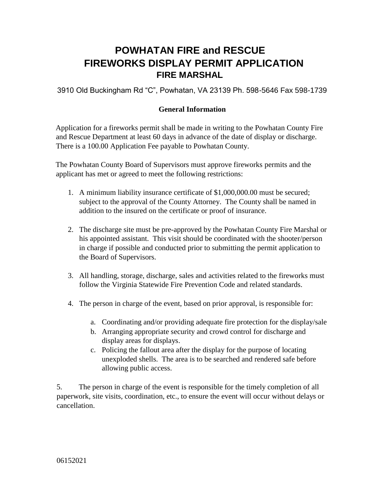## **POWHATAN FIRE and RESCUE FIREWORKS DISPLAY PERMIT APPLICATION FIRE MARSHAL**

3910 Old Buckingham Rd "C", Powhatan, VA 23139 Ph. 598-5646 Fax 598-1739

## **General Information**

Application for a fireworks permit shall be made in writing to the Powhatan County Fire and Rescue Department at least 60 days in advance of the date of display or discharge. There is a 100.00 Application Fee payable to Powhatan County.

The Powhatan County Board of Supervisors must approve fireworks permits and the applicant has met or agreed to meet the following restrictions:

- 1. A minimum liability insurance certificate of \$1,000,000.00 must be secured; subject to the approval of the County Attorney. The County shall be named in addition to the insured on the certificate or proof of insurance.
- 2. The discharge site must be pre-approved by the Powhatan County Fire Marshal or his appointed assistant. This visit should be coordinated with the shooter/person in charge if possible and conducted prior to submitting the permit application to the Board of Supervisors.
- 3. All handling, storage, discharge, sales and activities related to the fireworks must follow the Virginia Statewide Fire Prevention Code and related standards.
- 4. The person in charge of the event, based on prior approval, is responsible for:
	- a. Coordinating and/or providing adequate fire protection for the display/sale
	- b. Arranging appropriate security and crowd control for discharge and display areas for displays.
	- c. Policing the fallout area after the display for the purpose of locating unexploded shells. The area is to be searched and rendered safe before allowing public access.

5. The person in charge of the event is responsible for the timely completion of all paperwork, site visits, coordination, etc., to ensure the event will occur without delays or cancellation.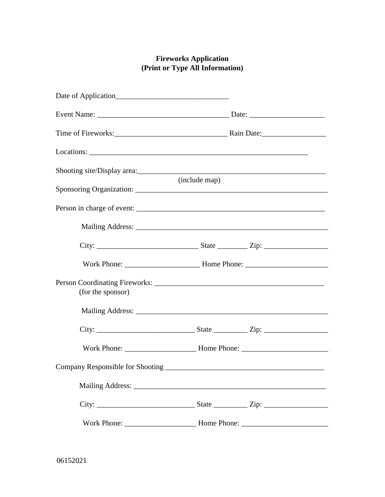## **Fireworks Application (Print or Type All Information)**

|                   | (include map) |                                  |
|-------------------|---------------|----------------------------------|
|                   |               |                                  |
|                   |               |                                  |
|                   |               |                                  |
|                   |               |                                  |
| (for the sponsor) |               |                                  |
|                   |               |                                  |
|                   |               |                                  |
|                   |               |                                  |
|                   |               |                                  |
|                   |               |                                  |
|                   |               | State $\frac{Zip:$ $\frac{1}{2}$ |
|                   |               |                                  |